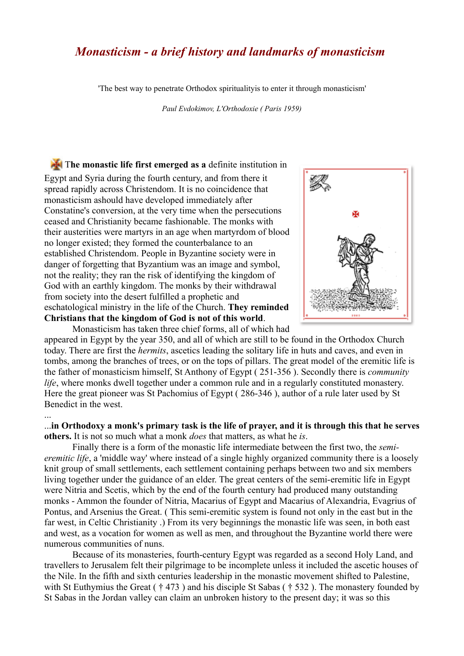## *Monasticism - a brief history and landmarks of monasticism*

'The best way to penetrate Orthodox spiritualityis to enter it through monasticism'

*Paul Evdokimov, L'Orthodoxie ( Paris 1959)*

## **The monastic life first emerged as a** definite institution in

Egypt and Syria during the fourth century, and from there it spread rapidly across Christendom. It is no coincidence that monasticism ashould have developed immediately after Constatine's conversion, at the very time when the persecutions ceased and Christianity became fashionable. The monks with their austerities were martyrs in an age when martyrdom of blood no longer existed; they formed the counterbalance to an established Christendom. People in Byzantine society were in danger of forgetting that Byzantium was an image and symbol, not the reality; they ran the risk of identifying the kingdom of God with an earthly kingdom. The monks by their withdrawal from society into the desert fulfilled a prophetic and eschatological ministry in the life of the Church. **They reminded Christians that the kingdom of God is not of this world**.

Benedict in the west.

...



Monasticism has taken three chief forms, all of which had appeared in Egypt by the year 350, and all of which are still to be found in the Orthodox Church today. There are first the *hermits*, ascetics leading the solitary life in huts and caves, and even in tombs, among the branches of trees, or on the tops of pillars. The great model of the eremitic life is the father of monasticism himself, St Anthony of Egypt ( 251-356 ). Secondly there is *community life*, where monks dwell together under a common rule and in a regularly constituted monastery. Here the great pioneer was St Pachomius of Egypt ( 286-346 ), author of a rule later used by St

## ...**in Orthodoxy a monk's primary task is the life of prayer, and it is through this that he serves others.** It is not so much what a monk *does* that matters, as what he *is*.

Finally there is a form of the monastic life intermediate between the first two, the *semieremitic life*, a 'middle way' where instead of a single highly organized community there is a loosely knit group of small settlements, each settlement containing perhaps between two and six members living together under the guidance of an elder. The great centers of the semi-eremitic life in Egypt were Nitria and Scetis, which by the end of the fourth century had produced many outstanding monks - Ammon the founder of Nitria, Macarius of Egypt and Macarius of Alexandria, Evagrius of Pontus, and Arsenius the Great. ( This semi-eremitic system is found not only in the east but in the far west, in Celtic Christianity .) From its very beginnings the monastic life was seen, in both east and west, as a vocation for women as well as men, and throughout the Byzantine world there were numerous communities of nuns.

Because of its monasteries, fourth-century Egypt was regarded as a second Holy Land, and travellers to Jerusalem felt their pilgrimage to be incomplete unless it included the ascetic houses of the Nile. In the fifth and sixth centuries leadership in the monastic movement shifted to Palestine, with St Euthymius the Great (†473) and his disciple St Sabas (†532). The monastery founded by St Sabas in the Jordan valley can claim an unbroken history to the present day; it was so this